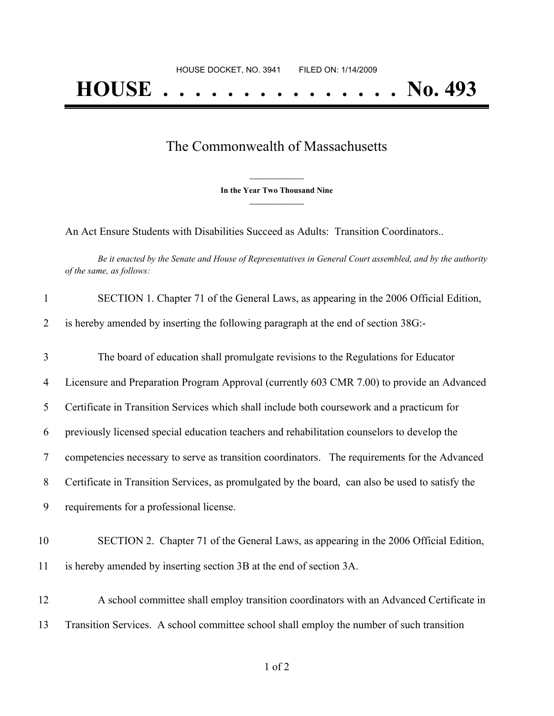## The Commonwealth of Massachusetts

**\_\_\_\_\_\_\_\_\_\_\_\_\_\_\_ In the Year Two Thousand Nine \_\_\_\_\_\_\_\_\_\_\_\_\_\_\_**

An Act Ensure Students with Disabilities Succeed as Adults: Transition Coordinators..

Be it enacted by the Senate and House of Representatives in General Court assembled, and by the authority *of the same, as follows:*

| $\mathbf{1}$   | SECTION 1. Chapter 71 of the General Laws, as appearing in the 2006 Official Edition,            |
|----------------|--------------------------------------------------------------------------------------------------|
| 2              | is hereby amended by inserting the following paragraph at the end of section 38G:-               |
| 3              | The board of education shall promulgate revisions to the Regulations for Educator                |
| 4              | Licensure and Preparation Program Approval (currently 603 CMR 7.00) to provide an Advanced       |
| 5              | Certificate in Transition Services which shall include both coursework and a practicum for       |
| 6              | previously licensed special education teachers and rehabilitation counselors to develop the      |
| $\overline{7}$ | competencies necessary to serve as transition coordinators. The requirements for the Advanced    |
| 8              | Certificate in Transition Services, as promulgated by the board, can also be used to satisfy the |
| 9              | requirements for a professional license.                                                         |
| 10             | SECTION 2. Chapter 71 of the General Laws, as appearing in the 2006 Official Edition,            |
| 11             | is hereby amended by inserting section 3B at the end of section 3A.                              |
| 12             | A school committee shall employ transition coordinators with an Advanced Certificate in          |
| 13             | Transition Services. A school committee school shall employ the number of such transition        |